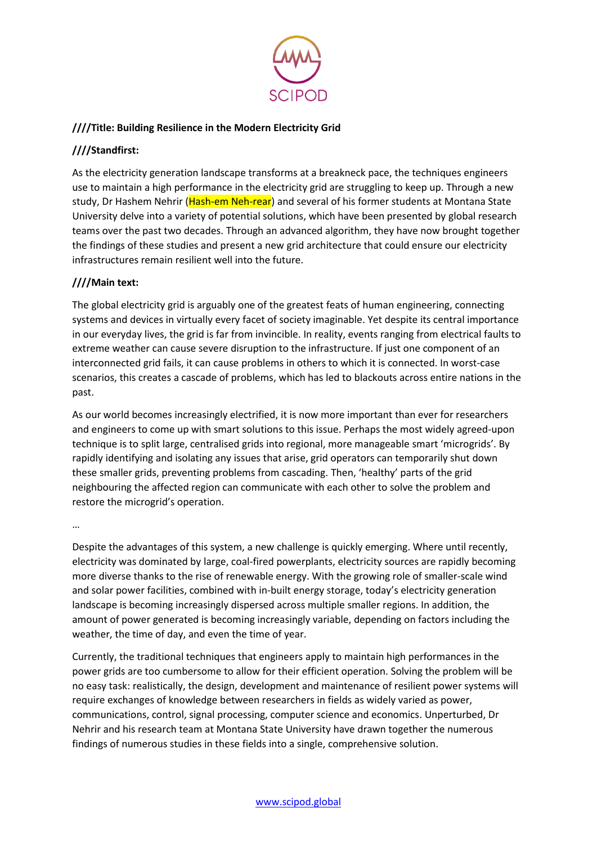

## **////Title: Building Resilience in the Modern Electricity Grid**

## **////Standfirst:**

As the electricity generation landscape transforms at a breakneck pace, the techniques engineers use to maintain a high performance in the electricity grid are struggling to keep up. Through a new study, Dr Hashem Nehrir (Hash-em Neh-rear) and several of his former students at Montana State University delve into a variety of potential solutions, which have been presented by global research teams over the past two decades. Through an advanced algorithm, they have now brought together the findings of these studies and present a new grid architecture that could ensure our electricity infrastructures remain resilient well into the future.

## **////Main text:**

The global electricity grid is arguably one of the greatest feats of human engineering, connecting systems and devices in virtually every facet of society imaginable. Yet despite its central importance in our everyday lives, the grid is far from invincible. In reality, events ranging from electrical faults to extreme weather can cause severe disruption to the infrastructure. If just one component of an interconnected grid fails, it can cause problems in others to which it is connected. In worst-case scenarios, this creates a cascade of problems, which has led to blackouts across entire nations in the past.

As our world becomes increasingly electrified, it is now more important than ever for researchers and engineers to come up with smart solutions to this issue. Perhaps the most widely agreed-upon technique is to split large, centralised grids into regional, more manageable smart 'microgrids'. By rapidly identifying and isolating any issues that arise, grid operators can temporarily shut down these smaller grids, preventing problems from cascading. Then, 'healthy' parts of the grid neighbouring the affected region can communicate with each other to solve the problem and restore the microgrid's operation.

…

Despite the advantages of this system, a new challenge is quickly emerging. Where until recently, electricity was dominated by large, coal-fired powerplants, electricity sources are rapidly becoming more diverse thanks to the rise of renewable energy. With the growing role of smaller-scale wind and solar power facilities, combined with in-built energy storage, today's electricity generation landscape is becoming increasingly dispersed across multiple smaller regions. In addition, the amount of power generated is becoming increasingly variable, depending on factors including the weather, the time of day, and even the time of year.

Currently, the traditional techniques that engineers apply to maintain high performances in the power grids are too cumbersome to allow for their efficient operation. Solving the problem will be no easy task: realistically, the design, development and maintenance of resilient power systems will require exchanges of knowledge between researchers in fields as widely varied as power, communications, control, signal processing, computer science and economics. Unperturbed, Dr Nehrir and his research team at Montana State University have drawn together the numerous findings of numerous studies in these fields into a single, comprehensive solution.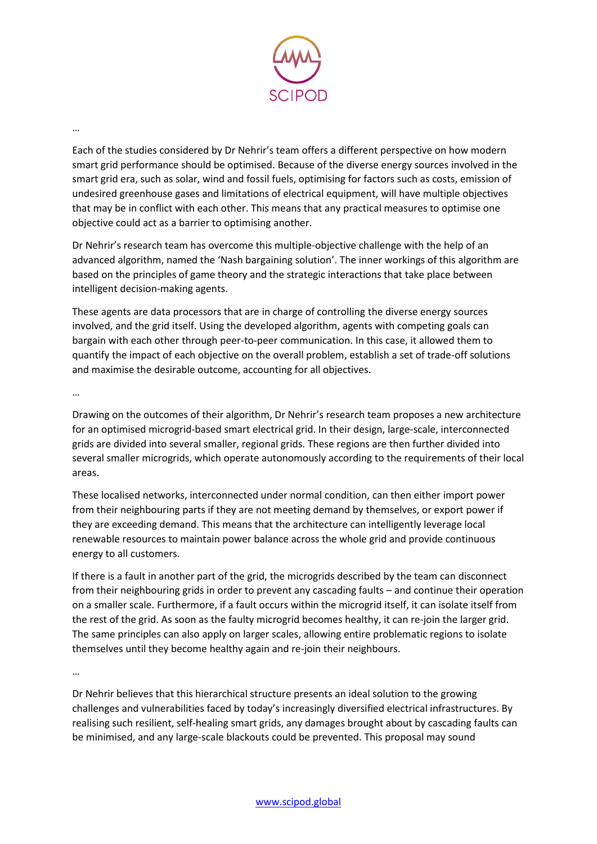

## …

Each of the studies considered by Dr Nehrir's team offers a different perspective on how modern smart grid performance should be optimised. Because of the diverse energy sources involved in the smart grid era, such as solar, wind and fossil fuels, optimising for factors such as costs, emission of undesired greenhouse gases and limitations of electrical equipment, will have multiple objectives that may be in conflict with each other. This means that any practical measures to optimise one objective could act as a barrier to optimising another.

Dr Nehrir's research team has overcome this multiple-objective challenge with the help of an advanced algorithm, named the 'Nash bargaining solution'. The inner workings of this algorithm are based on the principles of game theory and the strategic interactions that take place between intelligent decision-making agents.

These agents are data processors that are in charge of controlling the diverse energy sources involved, and the grid itself. Using the developed algorithm, agents with competing goals can bargain with each other through peer-to-peer communication. In this case, it allowed them to quantify the impact of each objective on the overall problem, establish a set of trade-off solutions and maximise the desirable outcome, accounting for all objectives.

…

Drawing on the outcomes of their algorithm, Dr Nehrir's research team proposes a new architecture for an optimised microgrid-based smart electrical grid. In their design, large-scale, interconnected grids are divided into several smaller, regional grids. These regions are then further divided into several smaller microgrids, which operate autonomously according to the requirements of their local areas.

These localised networks, interconnected under normal condition, can then either import power from their neighbouring parts if they are not meeting demand by themselves, or export power if they are exceeding demand. This means that the architecture can intelligently leverage local renewable resources to maintain power balance across the whole grid and provide continuous energy to all customers.

If there is a fault in another part of the grid, the microgrids described by the team can disconnect from their neighbouring grids in order to prevent any cascading faults – and continue their operation on a smaller scale. Furthermore, if a fault occurs within the microgrid itself, it can isolate itself from the rest of the grid. As soon as the faulty microgrid becomes healthy, it can re-join the larger grid. The same principles can also apply on larger scales, allowing entire problematic regions to isolate themselves until they become healthy again and re-join their neighbours.

…

Dr Nehrir believes that this hierarchical structure presents an ideal solution to the growing challenges and vulnerabilities faced by today's increasingly diversified electrical infrastructures. By realising such resilient, self-healing smart grids, any damages brought about by cascading faults can be minimised, and any large-scale blackouts could be prevented. This proposal may sound